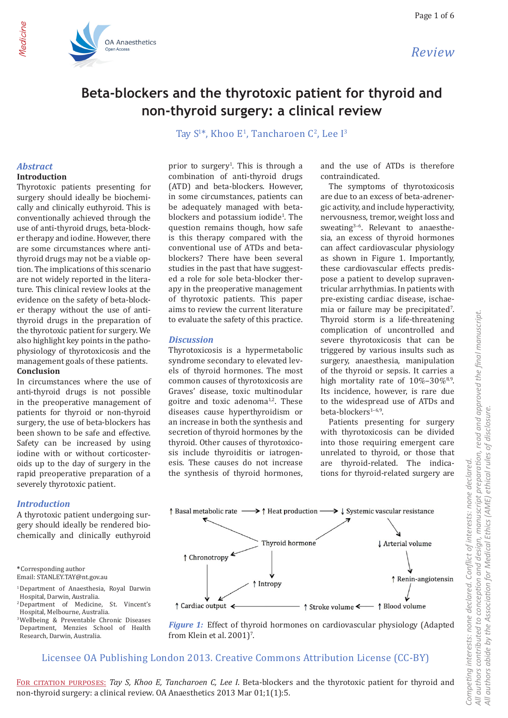

## **Beta-blockers and the thyrotoxic patient for thyroid and non-thyroid surgery: a clinical review**

Tay  $S^{1*}$ , Khoo E<sup>1</sup>, Tancharoen C<sup>2</sup>, Lee I<sup>3</sup>

## *Abstract*

Medicine

#### **Introduction**

Thyrotoxic patients presenting for surgery should ideally be biochemically and clinically euthyroid. This is conventionally achieved through the use of anti-thyroid drugs, beta-blocker therapy and iodine. However, there are some circumstances where antithyroid drugs may not be a viable option. The implications of this scenario are not widely reported in the literature. This clinical review looks at the evidence on the safety of beta-blocker therapy without the use of antithyroid drugs in the preparation of the thyrotoxic patient for surgery. We also highlight key points in the pathophysiology of thyrotoxicosis and the management goals of these patients. **Conclusion**

In circumstances where the use of anti-thyroid drugs is not possible in the preoperative management of patients for thyroid or non-thyroid surgery, the use of beta-blockers has been shown to be safe and effective. Safety can be increased by using iodine with or without corticosteroids up to the day of surgery in the rapid preoperative preparation of a severely thyrotoxic patient.

#### *Introduction*

A thyrotoxic patient undergoing surgery should ideally be rendered biochemically and clinically euthyroid

**\***Corresponding author Email: STANLEY.TAY@nt.gov.au

- 1 Department of Anaesthesia, Royal Darwin Hospital, Darwin, Australia.
- 2 Department of Medicine, St. Vincent's Hospital, Melbourne, Australia.
- 3 Wellbeing & Preventable Chronic Diseases Department, Menzies School of Health Research, Darwin, Australia.

prior to surgery<sup>1</sup>. This is through a combination of anti-thyroid drugs (ATD) and beta-blockers. However, in some circumstances, patients can be adequately managed with betablockers and potassium iodide<sup>1</sup>. The question remains though, how safe is this therapy compared with the conventional use of ATDs and betablockers? There have been several studies in the past that have suggested a role for sole beta-blocker therapy in the preoperative management of thyrotoxic patients. This paper aims to review the current literature to evaluate the safety of this practice.

#### *Discussion*

Thyrotoxicosis is a hypermetabolic syndrome secondary to elevated levels of thyroid hormones. The most common causes of thyrotoxicosis are Graves' disease, toxic multinodular goitre and toxic adenoma $1,2$ . These diseases cause hyperthyroidism or an increase in both the synthesis and secretion of thyroid hormones by the thyroid. Other causes of thyrotoxicosis include thyroiditis or iatrogenesis. These causes do not increase the synthesis of thyroid hormones,

and the use of ATDs is therefore contraindicated.

The symptoms of thyrotoxicosis are due to an excess of beta-adrenergic activity, and include hyperactivity, nervousness, tremor, weight loss and sweating3–6. Relevant to anaesthesia, an excess of thyroid hormones can affect cardiovascular physiology as shown in Figure 1. Importantly, these cardiovascular effects predispose a patient to develop supraventricular arrhythmias. In patients with pre-existing cardiac disease, ischaemia or failure may be precipitated'. Thyroid storm is a life-threatening complication of uncontrolled and severe thyrotoxicosis that can be triggered by various insults such as surgery, anaesthesia, manipulation of the thyroid or sepsis. It carries a high mortality rate of  $10\% - 30\%$ <sup>8,9</sup>. Its incidence, however, is rare due to the widespread use of ATDs and beta-blockers<sup>1-6,9</sup>.

Patients presenting for surgery with thyrotoxicosis can be divided into those requiring emergent care unrelated to thyroid, or those that are thyroid-related. The indications for thyroid-related surgery are



*Figure 1:* Effect of thyroid hormones on cardiovascular physiology (Adapted from Klein et al.  $2001$ <sup> $\degree$ </sup>.

## Licensee OA Publishing London 2013. Creative Commons Attribution License (CC-BY)

FOR CITATION PURPOSES: Tay S, Khoo E, Tancharoen C, Lee I. Beta-blockers and the thyrotoxic patient for thyroid and non-thyroid surgery: a clinical review. OA Anaesthetics 2013 Mar 01;1(1):5.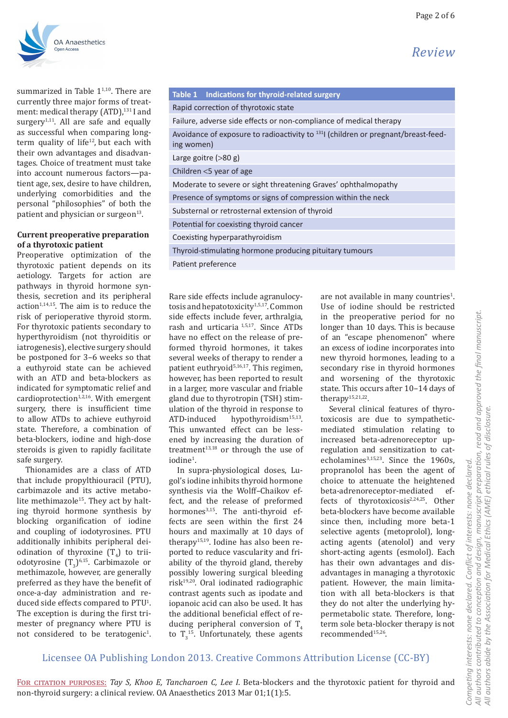*Review*



summarized in Table  $1^{1,10}$ . There are currently three major forms of treatment: medical therapy (ATD),<sup>131</sup> I and surgery<sup>1,11</sup>. All are safe and equally as successful when comparing longterm quality of life<sup>12</sup>, but each with their own advantages and disadvantages. Choice of treatment must take into account numerous factors—patient age, sex, desire to have children, underlying comorbidities and the personal "philosophies" of both the patient and physician or surgeon<sup>13</sup>.

#### **Current preoperative preparation of a thyrotoxic patient**

Preoperative optimization of the thyrotoxic patient depends on its aetiology. Targets for action are pathways in thyroid hormone synthesis, secretion and its peripheral action<sup>1,14,15</sup>. The aim is to reduce the risk of perioperative thyroid storm. For thyrotoxic patients secondary to hyperthyroidism (not thyroiditis or iatrogenesis), elective surgery should be postponed for 3–6 weeks so that a euthyroid state can be achieved with an ATD and beta-blockers as indicated for symptomatic relief and cardioprotection $1,2,16$ . With emergent surgery, there is insufficient time to allow ATDs to achieve euthyroid state. Therefore, a combination of beta-blockers, iodine and high-dose steroids is given to rapidly facilitate safe surgery.

Thionamides are a class of ATD that include propylthiouracil (PTU), carbimazole and its active metabolite methimazole<sup>15</sup>. They act by halting thyroid hormone synthesis by blocking organification of iodine and coupling of iodotyrosines. PTU additionally inhibits peripheral deiodination of thyroxine  $(T_4)$  to triodotyrosine  $(T_3)^{6,15}$ . Carbimazole or methimazole, however, are generally preferred as they have the benefit of once-a-day administration and reduced side effects compared to  $PTU<sup>1</sup>$ . The exception is during the first trimester of pregnancy where PTU is not considered to be teratogenic<sup>1</sup>.

| Table 1 Indications for thyroid-related surgery                                                             |  |  |  |  |  |  |  |
|-------------------------------------------------------------------------------------------------------------|--|--|--|--|--|--|--|
| Rapid correction of thyrotoxic state                                                                        |  |  |  |  |  |  |  |
| Failure, adverse side effects or non-compliance of medical therapy                                          |  |  |  |  |  |  |  |
| Avoidance of exposure to radioactivity to <sup>131</sup> l (children or pregnant/breast-feed-<br>ing women) |  |  |  |  |  |  |  |
| Large goitre (>80 g)                                                                                        |  |  |  |  |  |  |  |
| Children <5 year of age                                                                                     |  |  |  |  |  |  |  |
| Moderate to severe or sight threatening Graves' ophthalmopathy                                              |  |  |  |  |  |  |  |
| Presence of symptoms or signs of compression within the neck                                                |  |  |  |  |  |  |  |
| Substernal or retrosternal extension of thyroid                                                             |  |  |  |  |  |  |  |
| Potential for coexisting thyroid cancer                                                                     |  |  |  |  |  |  |  |
| Coexisting hyperparathyroidism                                                                              |  |  |  |  |  |  |  |
| Thyroid-stimulating hormone producing pituitary tumours                                                     |  |  |  |  |  |  |  |
|                                                                                                             |  |  |  |  |  |  |  |

Patient preference

Rare side effects include agranulocytosis and hepatotoxicity<sup>1,5,17</sup>. Common side effects include fever, arthralgia, rash and urticaria 1,5,17. Since ATDs have no effect on the release of preformed thyroid hormones, it takes several weeks of therapy to render a patient euthryoid<sup>5,16,17</sup>. This regimen, however, has been reported to result in a larger, more vascular and friable gland due to thyrotropin (TSH) stimulation of the thyroid in response to<br>ATD-induced hypothyroidism<sup>15,13</sup>. hypothyroidism $15,13$ . This unwanted effect can be lessened by increasing the duration of treatment $13,18$  or through the use of iodine<sup>1</sup>.

In supra-physiological doses, Lugol's iodine inhibits thyroid hormone synthesis via the Wolff–Chaikov effect, and the release of preformed hormones<sup>3,15</sup>. The anti-thyroid effects are seen within the first 24 hours and maximally at 10 days of therapy<sup>15,19</sup>. Iodine has also been reported to reduce vascularity and friability of the thyroid gland, thereby possibly lowering surgical bleeding  $risk^{19,20}$ . Oral iodinated radiographic contrast agents such as ipodate and iopanoic acid can also be used. It has the additional beneficial effect of reducing peripheral conversion of  $T<sub>4</sub>$ to  $T_3$ <sup>15</sup>. Unfortunately, these agents

are not available in many countries<sup>1</sup>. Use of iodine should be restricted in the preoperative period for no longer than 10 days. This is because of an "escape phenomenon" where an excess of iodine incorporates into new thyroid hormones, leading to a secondary rise in thyroid hormones and worsening of the thyrotoxic state. This occurs after 10–14 days of therapy15,21,22.

Several clinical features of thyrotoxicosis are due to sympatheticmediated stimulation relating to increased beta-adrenoreceptor upregulation and sensitization to catecholamines<sup>3,15,23</sup>. Since the 1960s, propranolol has been the agent of choice to attenuate the heightened<br>heta-adrenorecentor-mediated efbeta-adrenoreceptor-mediated fects of thyrotoxicosis<sup>2,24,25</sup>. Other beta-blockers have become available since then, including more beta-1 selective agents (metoprolol), longacting agents (atenolol) and very short-acting agents (esmolol). Each has their own advantages and disadvantages in managing a thyrotoxic patient. However, the main limitation with all beta-blockers is that they do not alter the underlying hypermetabolic state. Therefore, longterm sole beta-blocker therapy is not recommended15,26.

## Licensee OA Publishing London 2013. Creative Commons Attribution License (CC-BY)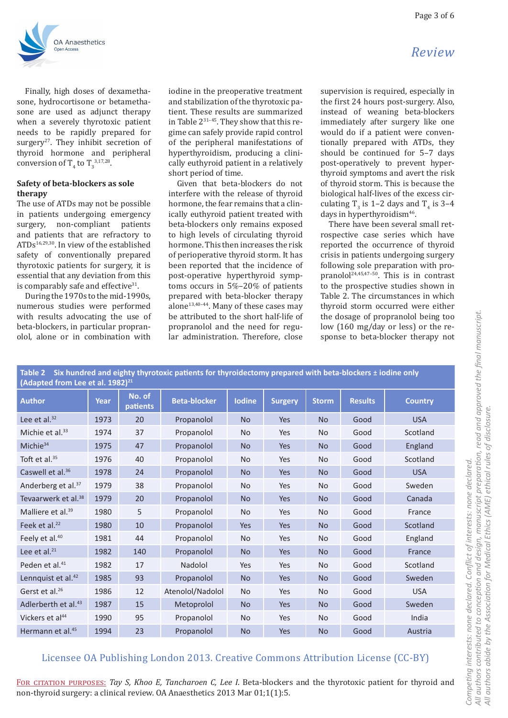

Finally, high doses of dexamethasone, hydrocortisone or betamethasone are used as adjunct therapy when a severely thyrotoxic patient needs to be rapidly prepared for surgery<sup>27</sup>. They inhibit secretion of thyroid hormone and peripheral conversion of  $T_4$  to  $T_3^{3,17,28}$ .

### **Safety of beta-blockers as sole therapy**

The use of ATDs may not be possible in patients undergoing emergency<br>surgery, non-compliant patients non-compliant patients and patients that are refractory to ATDs16,29,30. In view of the established safety of conventionally prepared thyrotoxic patients for surgery, it is essential that any deviation from this is comparably safe and effective $31$ .

During the 1970s to the mid-1990s, numerous studies were performed with results advocating the use of beta-blockers, in particular propranolol, alone or in combination with

iodine in the preoperative treatment and stabilization of the thyrotoxic patient. These results are summarized in Table 231–45. They show that this regime can safely provide rapid control of the peripheral manifestations of hyperthyroidism, producing a clinically euthyroid patient in a relatively short period of time.

Given that beta-blockers do not interfere with the release of thyroid hormone, the fear remains that a clinically euthyroid patient treated with beta-blockers only remains exposed to high levels of circulating thyroid hormone. This then increases the risk of perioperative thyroid storm. It has been reported that the incidence of post-operative hyperthyroid symptoms occurs in 5%–20% of patients prepared with beta-blocker therapy alone<sup>13,40–44</sup>. Many of these cases may be attributed to the short half-life of propranolol and the need for regular administration. Therefore, close

supervision is required, especially in the first 24 hours post-surgery. Also, instead of weaning beta-blockers immediately after surgery like one would do if a patient were conventionally prepared with ATDs, they should be continued for 5–7 days post-operatively to prevent hyperthyroid symptoms and avert the risk of thyroid storm. This is because the biological half-lives of the excess circulating  $T_3$  is 1–2 days and  $T_4$  is 3–4 days in hyperthyroidism<sup>46</sup>.

There have been several small retrospective case series which have reported the occurrence of thyroid crisis in patients undergoing surgery following sole preparation with propranolol24,45,47–50. This is in contrast to the prospective studies shown in Table 2. The circumstances in which thyroid storm occurred were either the dosage of propranolol being too low (160 mg/day or less) or the response to beta-blocker therapy not

| Table 2 Six hundred and eighty thyrotoxic patients for thyroidectomy prepared with beta-blockers ± iodine only<br>(Adapted from Lee et al. 1982) <sup>21</sup> |      |                    |                     |               |                |              |                |                |  |
|----------------------------------------------------------------------------------------------------------------------------------------------------------------|------|--------------------|---------------------|---------------|----------------|--------------|----------------|----------------|--|
| <b>Author</b>                                                                                                                                                  | Year | No. of<br>patients | <b>Beta-blocker</b> | <b>lodine</b> | <b>Surgery</b> | <b>Storm</b> | <b>Results</b> | <b>Country</b> |  |
| Lee et al. <sup>32</sup>                                                                                                                                       | 1973 | 20                 | Propanolol          | <b>No</b>     | Yes            | <b>No</b>    | Good           | <b>USA</b>     |  |
| Michie et al. $33$                                                                                                                                             | 1974 | 37                 | Propanolol          | <b>No</b>     | Yes            | <b>No</b>    | Good           | Scotland       |  |
| Michie <sup>34</sup>                                                                                                                                           | 1975 | 47                 | Propanolol          | <b>No</b>     | Yes            | <b>No</b>    | Good           | England        |  |
| Toft et al. $35$                                                                                                                                               | 1976 | 40                 | Propanolol          | <b>No</b>     | Yes            | No           | Good           | Scotland       |  |
| Caswell et al. <sup>36</sup>                                                                                                                                   | 1978 | 24                 | Propanolol          | <b>No</b>     | Yes            | No.          | Good           | <b>USA</b>     |  |
| Anderberg et al. <sup>37</sup>                                                                                                                                 | 1979 | 38                 | Propanolol          | <b>No</b>     | Yes            | <b>No</b>    | Good           | Sweden         |  |
| Tevaarwerk et al. <sup>38</sup>                                                                                                                                | 1979 | 20                 | Propanolol          | <b>No</b>     | Yes            | <b>No</b>    | Good           | Canada         |  |
| Malliere et al. <sup>39</sup>                                                                                                                                  | 1980 | 5                  | Propanolol          | No            | Yes            | No           | Good           | France         |  |
| Feek et al. <sup>22</sup>                                                                                                                                      | 1980 | 10                 | Propanolol          | Yes           | Yes            | <b>No</b>    | Good           | Scotland       |  |
| Feely et al. <sup>40</sup>                                                                                                                                     | 1981 | 44                 | Propanolol          | No            | Yes            | No           | Good           | England        |  |
| Lee et al. <sup>21</sup>                                                                                                                                       | 1982 | 140                | Propanolol          | <b>No</b>     | Yes            | No.          | Good           | France         |  |
| Peden et al. <sup>41</sup>                                                                                                                                     | 1982 | 17                 | Nadolol             | Yes           | Yes            | <b>No</b>    | Good           | Scotland       |  |
| Lennquist et al. <sup>42</sup>                                                                                                                                 | 1985 | 93                 | Propanolol          | <b>No</b>     | Yes            | No.          | Good           | Sweden         |  |
| Gerst et al. <sup>26</sup>                                                                                                                                     | 1986 | 12                 | Atenolol/Nadolol    | No            | Yes            | <b>No</b>    | Good           | <b>USA</b>     |  |
| Adlerberth et al. <sup>43</sup>                                                                                                                                | 1987 | 15                 | Metoprolol          | <b>No</b>     | Yes            | <b>No</b>    | Good           | Sweden         |  |
| Vickers et al <sup>44</sup>                                                                                                                                    | 1990 | 95                 | Propanolol          | No            | Yes            | No           | Good           | India          |  |
| Hermann et al. <sup>45</sup>                                                                                                                                   | 1994 | 23                 | Propanolol          | <b>No</b>     | Yes            | <b>No</b>    | Good           | Austria        |  |

## Licensee OA Publishing London 2013. Creative Commons Attribution License (CC-BY)

For citation purposes: *Tay S, Khoo E, Tancharoen C, Lee I*. Beta-blockers and the thyrotoxic patient for thyroid and non-thyroid surgery: a clinical review. OA Anaesthetics 2013 Mar 01;1(1):5.

## *Review*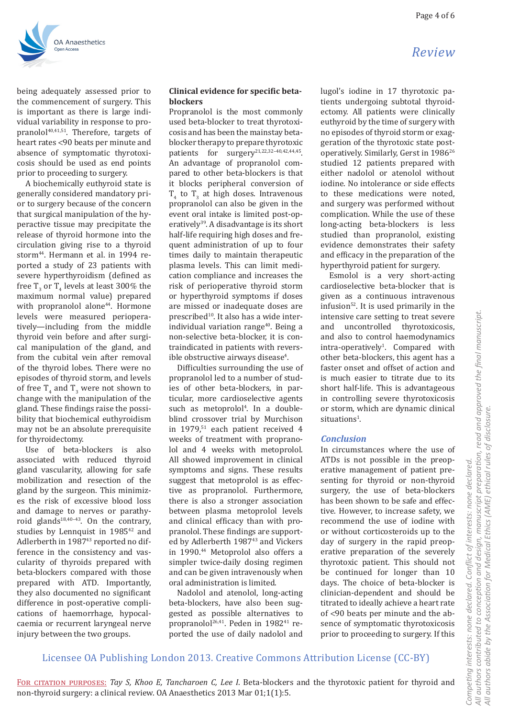*Review*



being adequately assessed prior to the commencement of surgery. This is important as there is large individual variability in response to propranolol<sup>40,41,51</sup>. Therefore, targets of heart rates <90 beats per minute and absence of symptomatic thyrotoxicosis should be used as end points prior to proceeding to surgery.

A biochemically euthyroid state is generally considered mandatory prior to surgery because of the concern that surgical manipulation of the hyperactive tissue may precipitate the release of thyroid hormone into the circulation giving rise to a thyroid storm44. Hermann et al. in 1994 reported a study of 23 patients with severe hyperthyroidism (defined as free  $T_3$  or  $T_4$  levels at least 300% the maximum normal value) prepared with propranolol alone<sup>44</sup>. Hormone levels were measured perioperatively—including from the middle thyroid vein before and after surgical manipulation of the gland, and from the cubital vein after removal of the thyroid lobes. There were no episodes of thyroid storm, and levels of free  $T_4$  and  $T_3$  were not shown to change with the manipulation of the gland. These findings raise the possibility that biochemical euthyroidism may not be an absolute prerequisite for thyroidectomy.

Use of beta-blockers is also associated with reduced thyroid gland vascularity, allowing for safe mobilization and resection of the gland by the surgeon. This minimizes the risk of excessive blood loss and damage to nerves or parathyroid glands<sup>18,40-43</sup>. On the contrary, studies by Lennquist in 1985<sup>42</sup> and Adlerberth in 1987<sup>43</sup> reported no difference in the consistency and vascularity of thyroids prepared with beta-blockers compared with those prepared with ATD. Importantly, they also documented no significant difference in post-operative complications of haemorrhage, hypocalcaemia or recurrent laryngeal nerve injury between the two groups.

#### **Clinical evidence for specific betablockers**

Propranolol is the most commonly used beta-blocker to treat thyrotoxicosis and has been the mainstay betablocker therapy to prepare thyrotoxic patients for surgery<sup>21,22,32-40,42,44,45</sup>. An advantage of propranolol compared to other beta-blockers is that it blocks peripheral conversion of  $T_4$  to  $T_3$  at high doses. Intravenous propranolol can also be given in the event oral intake is limited post-operatively<sup>39</sup>. A disadvantage is its short half-life requiring high doses and frequent administration of up to four times daily to maintain therapeutic plasma levels. This can limit medication compliance and increases the risk of perioperative thyroid storm or hyperthyroid symptoms if doses are missed or inadequate doses are prescribed<sup>10</sup>. It also has a wide interindividual variation range<sup>40</sup>. Being a non-selective beta-blocker, it is contraindicated in patients with revers- $\rm i\bar{b}$ le obstructive airways disease $\rm ^4$ .

Difficulties surrounding the use of propranolol led to a number of studies of other beta-blockers, in particular, more cardioselective agents such as metoprolol<sup>4</sup>. In a doubleblind crossover trial by Murchison in 1979,<sup>51</sup> each patient received 4 weeks of treatment with propranolol and 4 weeks with metoprolol. All showed improvement in clinical symptoms and signs. These results suggest that metoprolol is as effective as propranolol. Furthermore, there is also a stronger association between plasma metoprolol levels and clinical efficacy than with propranolol. These findings are supported by Adlerberth 1987<sup>43</sup> and Vickers in 1990.<sup>44</sup> Metoprolol also offers a simpler twice-daily dosing regimen and can be given intravenously when oral administration is limited.

Nadolol and atenolol, long-acting beta-blockers, have also been suggested as possible alternatives to propranolol $^{26,41}$ . Peden in 1982<sup>41</sup> reported the use of daily nadolol and

lugol's iodine in 17 thyrotoxic patients undergoing subtotal thyroidectomy. All patients were clinically euthyroid by the time of surgery with no episodes of thyroid storm or exaggeration of the thyrotoxic state postoperatively. Similarly, Gerst in 1986<sup>26</sup> studied 12 patients prepared with either nadolol or atenolol without iodine. No intolerance or side effects to these medications were noted, and surgery was performed without complication. While the use of these long-acting beta-blockers is less studied than propranolol, existing evidence demonstrates their safety and efficacy in the preparation of the hyperthyroid patient for surgery.

Esmolol is a very short-acting cardioselective beta-blocker that is given as a continuous intravenous infusion52. It is used primarily in the intensive care setting to treat severe and uncontrolled thyrotoxicosis, and also to control haemodynamics intra-operatively<sup>1</sup>. Compared with other beta-blockers, this agent has a faster onset and offset of action and is much easier to titrate due to its short half-life. This is advantageous in controlling severe thyrotoxicosis or storm, which are dynamic clinical situations<sup>1</sup>.

#### *Conclusion*

In circumstances where the use of ATDs is not possible in the preoperative management of patient presenting for thyroid or non-thyroid surgery, the use of beta-blockers has been shown to be safe and effective. However, to increase safety, we recommend the use of iodine with or without corticosteroids up to the day of surgery in the rapid preoperative preparation of the severely thyrotoxic patient. This should not be continued for longer than 10 days. The choice of beta-blocker is clinician-dependent and should be titrated to ideally achieve a heart rate of <90 beats per minute and the absence of symptomatic thyrotoxicosis prior to proceeding to surgery. If this

## Licensee OA Publishing London 2013. Creative Commons Attribution License (CC-BY)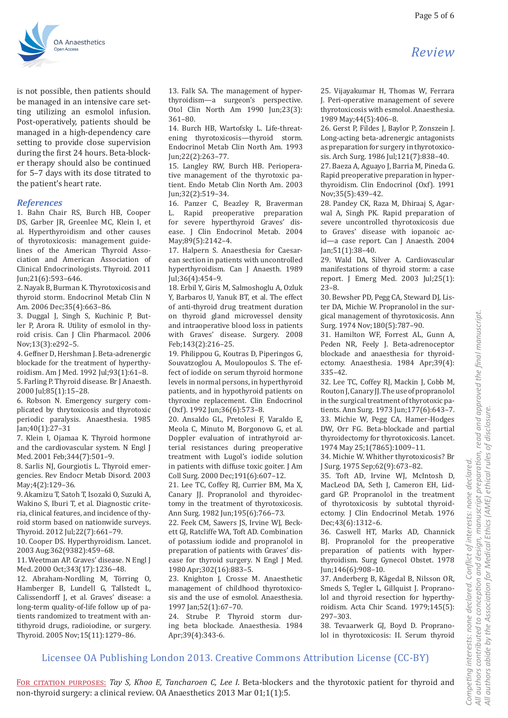is not possible, then patients should be managed in an intensive care setting utilizing an esmolol infusion. Post-operatively, patients should be managed in a high-dependency care setting to provide close supervision during the first 24 hours. Beta-blocker therapy should also be continued for 5–7 days with its dose titrated to the patient's heart rate.

#### *References*

1. Bahn Chair RS, Burch HB, Cooper DS, Garber JR, Greenlee MC, Klein I, et al. Hyperthyroidism and other causes of thyrotoxicosis: management guidelines of the American Thyroid Association and American Association of Clinical Endocrinologists. Thyroid. 2011 Jun;21(6):593–646.

2. Nayak B, Burman K. Thyrotoxicosis and thyroid storm. Endocrinol Metab Clin N Am. 2006 Dec;35(4):663–86.

3. Duggal J, Singh S, Kuchinic P, Butler P, Arora R. Utility of esmolol in thyroid crisis. Can J Clin Pharmacol. 2006 Nov;13(3):e292–5.

4. Geffner D, Hershman J. Beta-adrenergic blockade for the treatment of hyperthyroidism. Am J Med. 1992 Jul;93(1):61–8. 5. Farling P. Thyroid disease. Br J Anaesth. 2000 Jul;85(1):15–28.

6. Robson N. Emergency surgery complicated by thrytoxicosis and thyrotoxic periodic paralysis. Anaesthesia. 1985 Jan;40(1):27–31

7. Klein I, Ojamaa K. Thyroid hormone and the cardiovascular system. N Engl J Med. 2001 Feb;344(7):501–9.

8. Sarlis NJ, Gourgiotis L. Thyroid emergencies. Rev Endocr Metab Disord. 2003 May;4(2):129–36.

9. Akamizu T, Satoh T, Isozaki O, Suzuki A, Wakino S, Iburi T, et al. Diagnostic criteria, clinical features, and incidence of thyroid storm based on nationwide surveys. Thyroid. 2012 Jul;22(7):661–79.

10. Cooper DS. Hyperthyroidism. Lancet. 2003 Aug;362(9382):459–68.

11. Weetman AP. Graves' disease. N Engl J Med. 2000 Oct;343(17):1236–48.

12. Abraham-Nordling M, Törring O, Hamberger B, Lundell G, Tallstedt L, Calissendorff J, et al. Graves' disease: a long-term quality-of-life follow up of patients randomized to treatment with antithyroid drugs, radioiodine, or surgery. Thyroid. 2005 Nov;15(11):1279–86.

13. Falk SA. The management of hyperthyroidism—a surgeon's perspective. Otol Clin North Am 1990 Jun;23(3): 361–80.

14. Burch HB, Wartofsky L. Life-threatening thyrotoxicosis—thyroid storm. Endocrinol Metab Clin North Am. 1993 Jun;22(2):263–77.

15. Langley RW, Burch HB. Perioperative management of the thyrotoxic patient. Endo Metab Clin North Am. 2003 Jun;32(2):519–34.

16. Panzer C, Beazley R, Braverman<br>L. Rapid preoperative preparation Rapid preoperative preparation for severe hyperthyroid Graves' disease. J Clin Endocrinol Metab. 2004 May;89(5):2142–4.

17. Halpern S. Anaesthesia for Caesarean section in patients with uncontrolled hyperthyroidism. Can J Anaesth. 1989 Jul;36(4):454–9.

18. Erbil Y, Giris M, Salmoshoglu A, Ozluk Y, Barbaros U, Yanuk BT, et al. The effect of anti-thyroid drug treatment duration on thyroid gland microvessel density and intraoperative blood loss in patients with Graves' disease. Surgery. 2008 Feb;143(2):216–25.

19. Philippou G, Koutras D, Piperingos G, Souvatzoglou A, Moulopoulos S. The effect of iodide on serum thyroid hormone levels in normal persons, in hyperthyroid patients, and in hypothyroid patients on thyroxine replacement. Clin Endocrinol (Oxf). 1992 Jun;36(6):573–8.

20. Ansaldo GL, Pretolesi F, Varaldo E, Meola C, Minuto M, Borgonovo G, et al. Doppler evaluation of intrathyroid arterial resistances during preoperative treatment with Lugol's iodide solution in patients with diffuse toxic goiter. J Am Coll Surg. 2000 Dec;191(6):607–12.

21. Lee TC, Coffey RJ, Currier BM, Ma X, Canary JJ. Propranolol and thyroidectomy in the treatment of thyrotoxicosis. Ann Surg. 1982 Jun;195(6):766–73.

22. Feek CM, Sawers JS, Irvine WJ, Beckett GJ, Ratcliffe WA, Toft AD. Combination of potassium iodide and propranolol in preparation of patients with Graves' disease for thyroid surgery. N Engl J Med. 1980 Apr;302(16):883–5.

23. Knighton J, Crosse M. Anaesthetic management of childhood thyrotoxicosis and the use of esmolol. Anaesthesia. 1997 Jan;52(1):67–70.

24. Strube P. Thyroid storm during beta blockade. Anaesthesia. 1984 Apr;39(4):343-6.

thyrotoxicosis with esmolol. Anaesthesia. 1989 May;44(5):406–8. 26. Gerst P, Fildes J, Baylor P, Zonszein J.

Long-acting beta-adrenergic antagonists as preparation for surgery in thyrotoxicosis. Arch Surg. 1986 Jul;121(7):838–40.

27. Baeza A, Aguayo J, Barria M, Pineda G. Rapid preoperative preparation in hyperthyroidism. Clin Endocrinol (Oxf). 1991 Nov;35(5):439–42.

28. Pandey CK, Raza M, Dhiraaj S, Agarwal A, Singh PK. Rapid preparation of severe uncontrolled thyrotoxicosis due to Graves' disease with iopanoic acid—a case report. Can J Anaesth. 2004 Jan;51(1):38–40.

29. Wald DA, Silver A. Cardiovascular manifestations of thyroid storm: a case report. J Emerg Med. 2003 Jul;25(1): 23–8.

30. Bewsher PD, Pegg CA, Steward DJ, Lister DA, Michie W. Propranolol in the surgical management of thyrotoxicosis. Ann Surg. 1974 Nov;180(5):787–90.

31. Hamilton WF, Forrest AL, Gunn A, Peden NR, Feely J. Beta-adrenoceptor blockade and anaesthesia for thyroidectomy. Anaesthesia. 1984 Apr;39(4): 335–42.

32. Lee TC, Coffey RJ, Mackin J, Cobb M, Routon J, Canary JJ. The use of propranolol in the surgical treatment of thyrotoxic patients. Ann Surg. 1973 Jun;177(6):643–7. 33. Michie W, Pegg CA, Hamer-Hodges DW, Orr FG. Beta-blockade and partial thyroidectomy for thyrotoxicosis. Lancet. 1974 May 25;1(7865):1009–11.

34. Michie W. Whither thyrotoxicosis? Br J Surg. 1975 Sep;62(9):673–82.

35. Toft AD, Irvine WJ, McIntosh D, MacLeod DA, Seth J, Cameron EH, Lidgard GP. Propranolol in the treatment of thyrotoxicosis by subtotal thyroidectomy. J Clin Endocrinol Metab. 1976 Dec;43(6):1312–6.

36. Caswell HT, Marks AD, Channick BJ. Propranolol for the preoperative preparation of patients with hyperthyroidism. Surg Gynecol Obstet. 1978 Jun;146(6):908–10.

37. Anderberg B, Kågedal B, Nilsson OR, Smeds S, Tegler L, Gillquist J. Propranolol and thyroid resection for hyperthyroidism. Acta Chir Scand. 1979;145(5): 297–303.

38. Tevaarwerk GJ, Boyd D. Propranolol in thyrotoxicosis: II. Serum thyroid

# *Review*

Licensee OA Publishing London 2013. Creative Commons Attribution License (CC-BY)

FOR CITATION PURPOSES: Tay S, Khoo E, Tancharoen C, Lee I. Beta-blockers and the thyrotoxic patient for thyroid and non-thyroid surgery: a clinical review. OA Anaesthetics 2013 Mar 01;1(1):5.